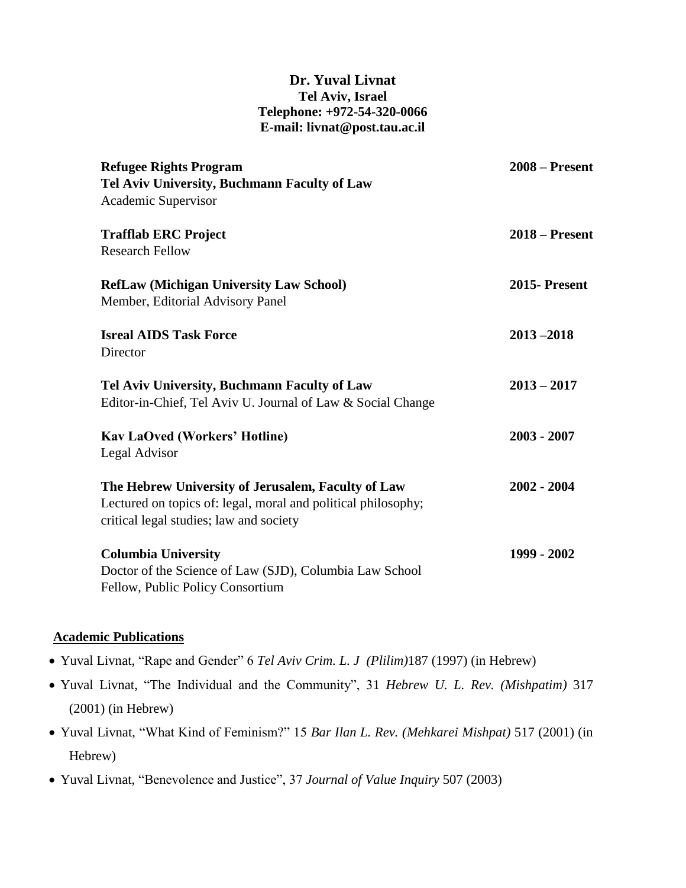## **Dr. Yuval Livnat Tel Aviv, Israel Telephone: +972-54-320-0066 E-mail: livnat@post.tau.ac.il**

| <b>Refugee Rights Program</b><br>Tel Aviv University, Buchmann Faculty of Law<br>Academic Supervisor                                                           | $2008 -$ Present    |
|----------------------------------------------------------------------------------------------------------------------------------------------------------------|---------------------|
| <b>Trafflab ERC Project</b><br><b>Research Fellow</b>                                                                                                          | $2018 -$ Present    |
| <b>RefLaw (Michigan University Law School)</b><br>Member, Editorial Advisory Panel                                                                             | <b>2015-Present</b> |
| <b>Isreal AIDS Task Force</b><br>Director                                                                                                                      | $2013 - 2018$       |
| Tel Aviv University, Buchmann Faculty of Law<br>Editor-in-Chief, Tel Aviv U. Journal of Law & Social Change                                                    | $2013 - 2017$       |
| <b>Kav LaOved (Workers' Hotline)</b><br>Legal Advisor                                                                                                          | $2003 - 2007$       |
| The Hebrew University of Jerusalem, Faculty of Law<br>Lectured on topics of: legal, moral and political philosophy;<br>critical legal studies; law and society | $2002 - 2004$       |
| <b>Columbia University</b><br>Doctor of the Science of Law (SJD), Columbia Law School<br>Fellow, Public Policy Consortium                                      | 1999 - 2002         |

## **Academic Publications**

- Yuval Livnat, "Rape and Gender" 6 *Tel Aviv Crim. L. J (Plilim)*187 (1997) (in Hebrew)
- Yuval Livnat, "The Individual and the Community", 31 *Hebrew U. L. Rev. (Mishpatim)* 317 (2001) (in Hebrew)
- Yuval Livnat, "What Kind of Feminism?" 15 *Bar Ilan L. Rev. (Mehkarei Mishpat)* 517 (2001) (in Hebrew)
- Yuval Livnat, "Benevolence and Justice", 37 *Journal of Value Inquiry* 507 (2003)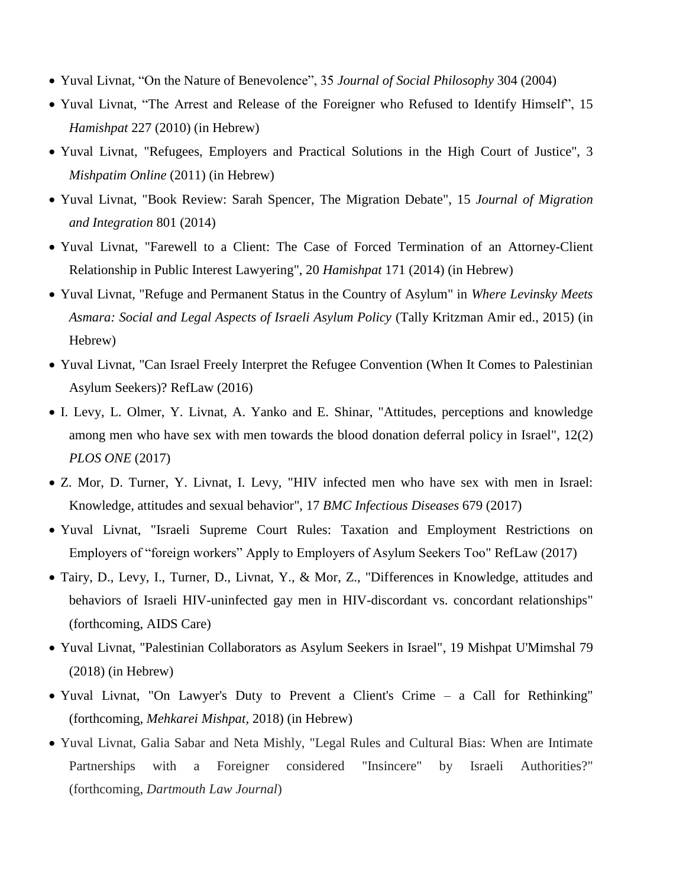- Yuval Livnat, "On the Nature of Benevolence", 35 *Journal of Social Philosophy* 304 (2004)
- Yuval Livnat, "The Arrest and Release of the Foreigner who Refused to Identify Himself", 15 *Hamishpat* 227 (2010) (in Hebrew)
- Yuval Livnat, "Refugees, Employers and Practical Solutions in the High Court of Justice", 3 *Mishpatim Online* (2011) (in Hebrew)
- Yuval Livnat, "Book Review: Sarah Spencer, The Migration Debate", 15 *Journal of Migration and Integration* 801 (2014)
- Yuval Livnat, "Farewell to a Client: The Case of Forced Termination of an Attorney-Client Relationship in Public Interest Lawyering", 20 *Hamishpat* 171 (2014) (in Hebrew)
- Yuval Livnat, "Refuge and Permanent Status in the Country of Asylum" in *Where Levinsky Meets Asmara: Social and Legal Aspects of Israeli Asylum Policy* (Tally Kritzman Amir ed., 2015) (in Hebrew)
- Yuval Livnat, "Can Israel Freely Interpret the Refugee Convention (When It Comes to Palestinian Asylum Seekers)? RefLaw (2016)
- I. Levy, L. Olmer, Y. Livnat, A. Yanko and E. Shinar, "Attitudes, perceptions and knowledge among men who have sex with men towards the blood donation deferral policy in Israel", 12(2) *PLOS ONE* (2017)
- Z. Mor, D. Turner, Y. Livnat, I. Levy, "HIV infected men who have sex with men in Israel: Knowledge, attitudes and sexual behavior", 17 *BMC Infectious Diseases* 679 (2017)
- Yuval Livnat, "Israeli Supreme Court Rules: Taxation and Employment Restrictions on Employers of "foreign workers" Apply to Employers of Asylum Seekers Too" RefLaw (2017)
- Tairy, D., Levy, I., Turner, D., Livnat, Y., & Mor, Z., "Differences in Knowledge, attitudes and behaviors of Israeli HIV-uninfected gay men in HIV-discordant vs. concordant relationships" (forthcoming, AIDS Care)
- Yuval Livnat, "Palestinian Collaborators as Asylum Seekers in Israel", 19 Mishpat U'Mimshal 79 (2018) (in Hebrew)
- Yuval Livnat, "On Lawyer's Duty to Prevent a Client's Crime a Call for Rethinking" (forthcoming, *Mehkarei Mishpat,* 2018) (in Hebrew)
- Yuval Livnat, Galia Sabar and Neta Mishly, "Legal Rules and Cultural Bias: When are Intimate Partnerships with a Foreigner considered "Insincere" by Israeli Authorities?" (forthcoming, *Dartmouth Law Journal*)